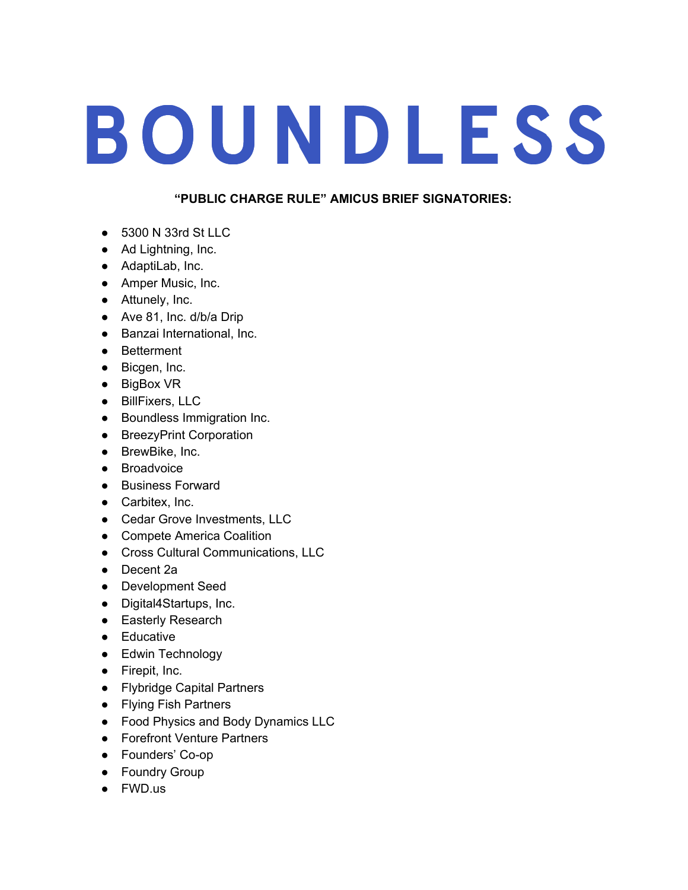## BOUNDLESS

## **"PUBLIC CHARGE RULE" AMICUS BRIEF SIGNATORIES:**

- 5300 N 33rd St LLC
- Ad Lightning, Inc.
- AdaptiLab, Inc.
- Amper Music, Inc.
- Attunely, Inc.
- Ave 81, Inc. d/b/a Drip
- Banzai International, Inc.
- Betterment
- Bicgen, Inc.
- BigBox VR
- BillFixers, LLC
- Boundless Immigration Inc.
- BreezyPrint Corporation
- BrewBike, Inc.
- Broadvoice
- Business Forward
- Carbitex, Inc.
- Cedar Grove Investments, LLC
- Compete America Coalition
- Cross Cultural Communications, LLC
- Decent 2a
- Development Seed
- Digital4Startups, Inc.
- Easterly Research
- Educative
- Edwin Technology
- Firepit, Inc.
- Flybridge Capital Partners
- Flying Fish Partners
- Food Physics and Body Dynamics LLC
- Forefront Venture Partners
- Founders' Co-op
- Foundry Group
- FWD.us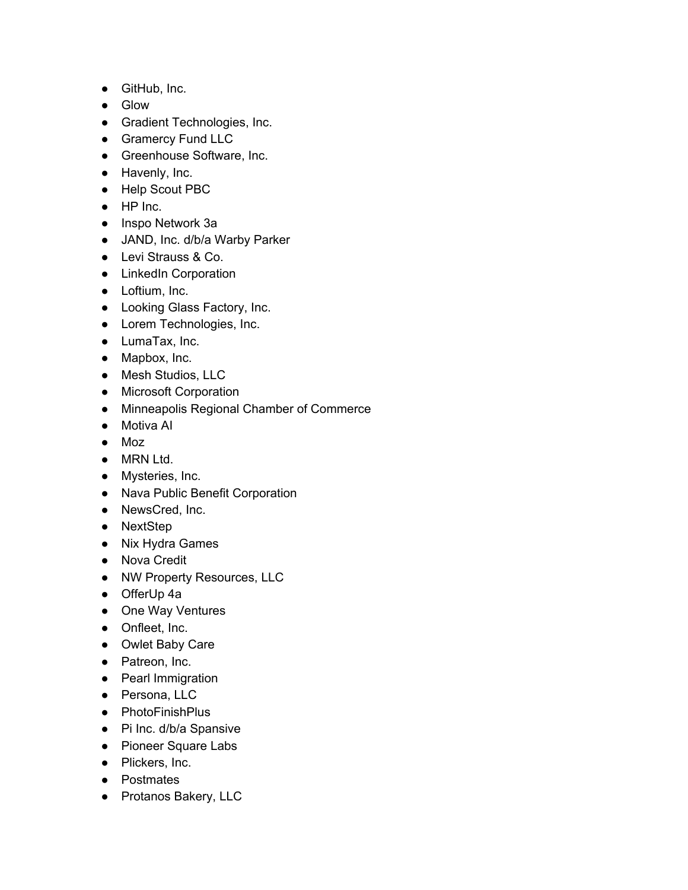- GitHub, Inc.
- Glow
- Gradient Technologies, Inc.
- Gramercy Fund LLC
- Greenhouse Software, Inc.
- Havenly, Inc.
- Help Scout PBC
- HP Inc.
- Inspo Network 3a
- JAND, Inc. d/b/a Warby Parker
- Levi Strauss & Co.
- LinkedIn Corporation
- Loftium, Inc.
- Looking Glass Factory, Inc.
- Lorem Technologies, Inc.
- LumaTax, Inc.
- Mapbox, Inc.
- Mesh Studios, LLC
- Microsoft Corporation
- Minneapolis Regional Chamber of Commerce
- Motiva AI
- Moz
- MRN Ltd.
- Mysteries, Inc.
- Nava Public Benefit Corporation
- NewsCred, Inc.
- NextStep
- Nix Hydra Games
- Nova Credit
- NW Property Resources, LLC
- OfferUp 4a
- One Way Ventures
- Onfleet, Inc.
- Owlet Baby Care
- Patreon, Inc.
- Pearl Immigration
- Persona, LLC
- PhotoFinishPlus
- Pi Inc. d/b/a Spansive
- Pioneer Square Labs
- Plickers, Inc.
- Postmates
- Protanos Bakery, LLC